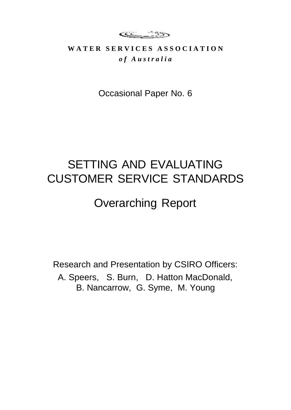**CCL 135** 

### WATER SERVICES ASSOCIATION *o f A u s t r a l i a*

Occasional Paper No. 6

# SETTING AND EVALUATING CUSTOMER SERVICE STANDARDS

# Overarching Report

Research and Presentation by CSIRO Officers: A. Speers, S. Burn, D. Hatton MacDonald, B. Nancarrow, G. Syme, M. Young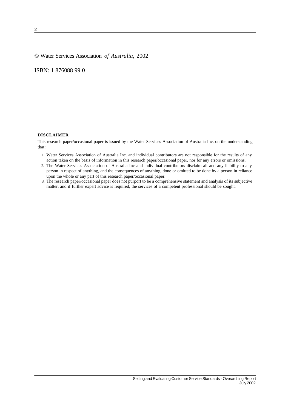#### © Water Services Association *of Australia*, 2002

ISBN: 1 876088 99 0

#### **DISCLAIMER**

This research paper/occasional paper is issued by the Water Services Association of Australia Inc. on the understanding that:

- 1. Water Services Association of Australia Inc. and individual contributors are not responsible for the results of any action taken on the basis of information in this research paper/occasional paper, nor for any errors or omissions.
- 2. The Water Services Association of Australia Inc and individual contributors disclaim all and any liability to any person in respect of anything, and the consequences of anything, done or omitted to be done by a person in reliance upon the whole or any part of this research paper/occasional paper.
- 3. The research paper/occasional paper does not purport to be a comprehensive statement and analysis of its subjective matter, and if further expert advice is required, the services of a competent professional should be sought.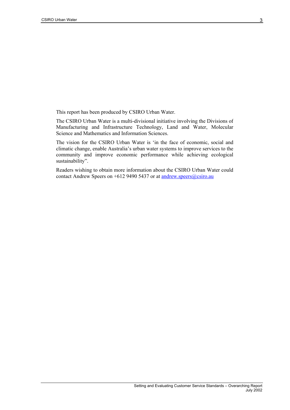This report has been produced by CSIRO Urban Water.

The CSIRO Urban Water is a multi-divisional initiative involving the Divisions of Manufacturing and Infrastructure Technology, Land and Water, Molecular Science and Mathematics and Information Sciences.

The vision for the CSIRO Urban Water is 'in the face of economic, social and climatic change, enable Australia's urban water systems to improve services to the community and improve economic performance while achieving ecological sustainability".

Readers wishing to obtain more information about the CSIRO Urban Water could contact Andrew Speers on +612 9490 5437 or at [andrew.speers@csiro.au](mailto:andrew.speers@csiro.au)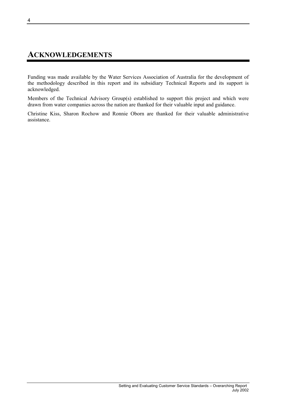### <span id="page-3-0"></span>**ACKNOWLEDGEMENTS**

Funding was made available by the Water Services Association of Australia for the development of the methodology described in this report and its subsidiary Technical Reports and its support is acknowledged.

Members of the Technical Advisory Group(s) established to support this project and which were drawn from water companies across the nation are thanked for their valuable input and guidance.

Christine Kiss, Sharon Rochow and Ronnie Oborn are thanked for their valuable administrative assistance.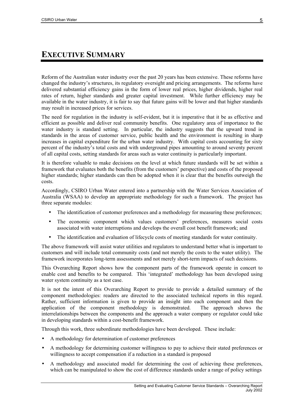### <span id="page-4-0"></span>**EXECUTIVE SUMMARY**

Reform of the Australian water industry over the past 20 years has been extensive. These reforms have changed the industry's structures, its regulatory oversight and pricing arrangements. The reforms have delivered substantial efficiency gains in the form of lower real prices, higher dividends, higher real rates of return, higher standards and greater capital investment. While further efficiency may be available in the water industry, it is fair to say that future gains will be lower and that higher standards may result in increased prices for services.

The need for regulation in the industry is self-evident, but it is imperative that it be as effective and efficient as possible and deliver real community benefits. One regulatory area of importance to the water industry is standard setting. In particular, the industry suggests that the upward trend in standards in the areas of customer service, public health and the environment is resulting in sharp increases in capital expenditure for the urban water industry. With capital costs accounting for sixty percent of the industry's total costs and with underground pipes amounting to around seventy percent of all capital costs, setting standards for areas such as water continuity is particularly important.

It is therefore valuable to make decisions on the level at which future standards will be set within a framework that evaluates both the benefits (from the customers' perspective) and costs of the proposed higher standards; higher standards can then be adopted when it is clear that the benefits outweigh the costs.

Accordingly, CSIRO Urban Water entered into a partnership with the Water Services Association of Australia (WSAA) to develop an appropriate methodology for such a framework. The project has three separate modules:

- The identification of customer preferences and a methodology for measuring these preferences:
- The economic component which values customers' preferences, measures social costs associated with water interruptions and develops the overall cost benefit framework; and
- The identification and evaluation of lifecycle costs of meeting standards for water continuity.

The above framework will assist water utilities and regulators to understand better what is important to customers and will include total community costs (and not merely the costs to the water utility). The framework incorporates long-term assessments and not merely short-term impacts of such decisions.

This Overarching Report shows how the component parts of the framework operate in concert to enable cost and benefits to be compared. This 'integrated' methodology has been developed using water system continuity as a test case.

It is not the intent of this Overarching Report to provide to provide a detailed summary of the component methodologies: readers are directed to the associated technical reports in this regard. Rather, sufficient information is given to provide an insight into each component and then the application of the component methodology is demonstrated. The approach shows the interrelationships between the components and the approach a water company or regulator could take in developing standards within a cost-benefit framework.

Through this work, three subordinate methodologies have been developed. These include:

- A methodology for determination of customer preferences
- A methodology for determining customer willingness to pay to achieve their stated preferences or willingness to accept compensation if a reduction in a standard is proposed
- A methodology and associated model for determining the cost of achieving these preferences, which can be manipulated to show the cost of difference standards under a range of policy settings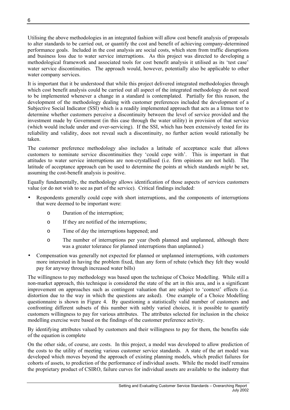Utilising the above methodologies in an integrated fashion will allow cost benefit analysis of proposals to alter standards to be carried out, or quantify the cost and benefit of achieving company-determined performance goals. Included in the cost analysis are social costs, which stem from traffic disruptions and business loss due to water service interruptions. As this project was directed to developing a methodological framework and associated tools for cost benefit analysis it utilised as its 'test case' water service discontinuities. The approach would, however, potentially also be applicable to other water company services.

It is important that it be understood that while this project delivered integrated methodologies through which cost benefit analysis could be carried out all aspect of the integrated methodology do not need to be implemented whenever a change in a standard is contemplated. Partially for this reason, the development of the methodology dealing with customer preferences included the development of a Subjective Social Indicator (SSI) which is a readily implemented approach that acts as a litmus test to determine whether customers perceive a discontinuity between the level of service provided and the investment made by Government (in this case through the water utility) in provision of that service (which would include under and over-servicing). If the SSI, which has been extensively tested for its reliability and validity, does not reveal such a discontinuity, no further action would rationally be taken.

The customer preference methodology also includes a latitude of acceptance scale that allows customers to nominate service discontinuities they 'could cope with'. This is important in that attitudes to water service interruptions are non-crystallised (i.e. firm opinions are not held). The latitude of acceptance approach can be used to determine the points at which standards *might* be set, assuming the cost-benefit analysis is positive.

Equally fundamentally, the methodology allows identification of those aspects of services customers value (or do not wish to see as part of the service). Critical findings included:

- Respondents generally could cope with short interruptions, and the components of interruptions that were deemed to be important were:
	- o Duration of the interruption;
	- o If they are notified of the interruptions;
	- o Time of day the interruptions happened; and
	- o The number of interruptions per year (both planned and unplanned, although there was a greater tolerance for planned interruptions than unplanned.)
- Compensation was generally not expected for planned or unplanned interruptions, with customers more interested in having the problem fixed, than any form of rebate (which they felt they would pay for anyway through increased water bills)

The willingness to pay methodology was based upon the technique of Choice Modelling. While still a non-market approach, this technique is considered the state of the art in this area, and is a significant improvement on approaches such as contingent valuation that are subject to 'context' effects (i.e. distortion due to the way in which the questions are asked). One example of a Choice Modelling questionnaire is shown in [Figure 4.](#page-19-0) By questioning a statistically valid number of customers and confronting different subsets of this number with subtly varied choices, it is possible to quantify customers willingness to pay for various attributes. The attributes selected for inclusion in the choice modelling exercise were based on the findings of the customer preference activity.

By identifying attributes valued by customers and their willingness to pay for them, the benefits side of the equation is complete

On the other side, of course, are costs. In this project, a model was developed to allow prediction of the costs to the utility of meeting various customer service standards. A state of the art model was developed which moves beyond the approach of existing planning models, which predict failures for cohorts of assets, to prediction of the performance of individual assets. While the model itself remains the proprietary product of CSIRO, failure curves for individual assets are available to the industry that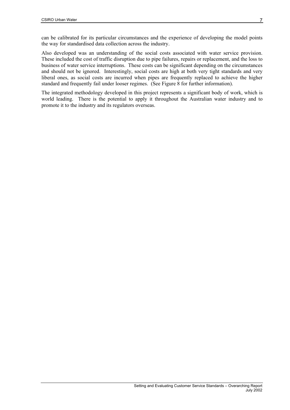can be calibrated for its particular circumstances and the experience of developing the model points the way for standardised data collection across the industry.

Also developed was an understanding of the social costs associated with water service provision. These included the cost of traffic disruption due to pipe failures, repairs or replacement, and the loss to business of water service interruptions. These costs can be significant depending on the circumstances and should not be ignored. Interestingly, social costs are high at both very tight standards and very liberal ones, as social costs are incurred when pipes are frequently replaced to achieve the higher standard and frequently fail under looser regimes. (See [Figure 8](#page-26-0) for further information).

The integrated methodology developed in this project represents a significant body of work, which is world leading. There is the potential to apply it throughout the Australian water industry and to promote it to the industry and its regulators overseas.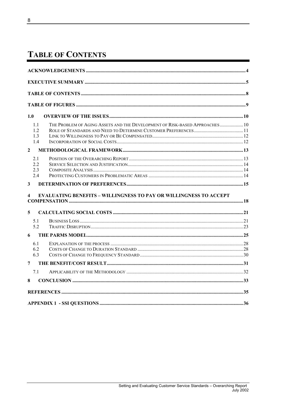# <span id="page-7-0"></span>**TABLE OF CONTENTS**

| 1.0            |                                                                             |  |
|----------------|-----------------------------------------------------------------------------|--|
| 1.1            | THE PROBLEM OF AGING ASSETS AND THE DEVELOPMENT OF RISK-BASED APPROACHES 10 |  |
| 1.2            |                                                                             |  |
| 1.3            |                                                                             |  |
| 1.4            |                                                                             |  |
| $\overline{2}$ |                                                                             |  |
| 2.1            |                                                                             |  |
| 22             |                                                                             |  |
| 2.3            |                                                                             |  |
| 2.4            |                                                                             |  |
| 3              |                                                                             |  |
| 4              | <b>EVALUATING BENEFITS - WILLINGNESS TO PAY OR WILLINGNESS TO ACCEPT</b>    |  |
| 5              |                                                                             |  |
| 5.1            |                                                                             |  |
| 5.2            |                                                                             |  |
| 6              |                                                                             |  |
| 61             |                                                                             |  |
| 6.2            |                                                                             |  |
| 6.3            |                                                                             |  |
| 7              |                                                                             |  |
|                |                                                                             |  |
| 7.1            |                                                                             |  |
| 8              |                                                                             |  |
|                |                                                                             |  |
|                |                                                                             |  |
|                |                                                                             |  |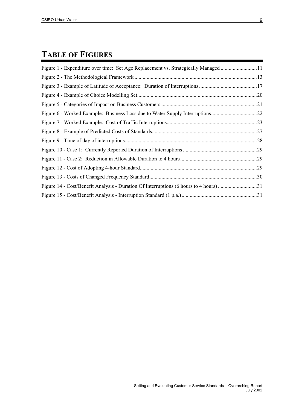# <span id="page-8-0"></span>**TABLE OF FIGURES**

| Figure 1 - Expenditure over time: Set Age Replacement vs. Strategically Managed 11    |     |
|---------------------------------------------------------------------------------------|-----|
|                                                                                       |     |
|                                                                                       |     |
|                                                                                       | .20 |
|                                                                                       | .21 |
|                                                                                       |     |
|                                                                                       | .23 |
|                                                                                       | .27 |
|                                                                                       | .28 |
|                                                                                       | .29 |
|                                                                                       | .29 |
|                                                                                       | .29 |
|                                                                                       | .30 |
| Figure 14 - Cost/Benefit Analysis - Duration Of Interruptions (6 hours to 4 hours) 31 |     |
|                                                                                       |     |
|                                                                                       |     |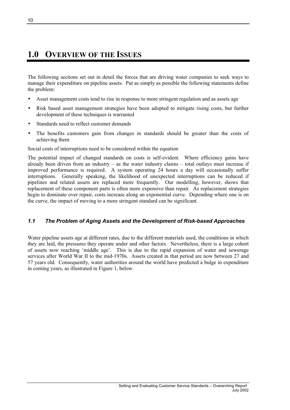## <span id="page-9-0"></span>**1.0 OVERVIEW OF THE ISSUES**

The following sections set out in detail the forces that are driving water companies to seek ways to manage their expenditure on pipeline assets. Put as simply as possible the following statements define the problem:

- Asset management costs tend to rise in response to more stringent regulation and as assets age
- Risk based asset management strategies have been adopted to mitigate rising costs, but further development of these techniques is warranted
- Standards need to reflect customer demands
- The benefits customers gain from changes in standards should be greater than the costs of achieving them

Social costs of interruptions need to be considered within the equation

The potential impact of changed standards on costs is self-evident. Where efficiency gains have already been driven from an industry – as the water industry claims – total outlays must increase if improved performance is required. A system operating 24 hours a day will occasionally suffer interruptions. Generally speaking, the likelihood of unexpected interruptions can be reduced if pipelines and related assets are replaced more frequently. Our modelling, however, shows that replacement of these component parts is often more expensive than repair. As replacement strategies begin to dominate over repair, costs increase along an exponential curve. Depending where one is on the curve, the impact of moving to a more stringent standard can be significant.

### *1.1 The Problem of Aging Assets and the Development of Risk-based Approaches*

Water pipeline assets age at different rates, due to the different materials used, the conditions in which they are laid, the pressures they operate under and other factors. Nevertheless, there is a large cohort of assets now reaching 'middle age'. This is due to the rapid expansion of water and sewerage services after World War II to the mid-1970s. Assets created in that period are now between 27 and 57 years old. Consequently, water authorities around the world have predicted a bulge in expenditure in coming years, as illustrated in [Figure 1,](#page-10-1) below.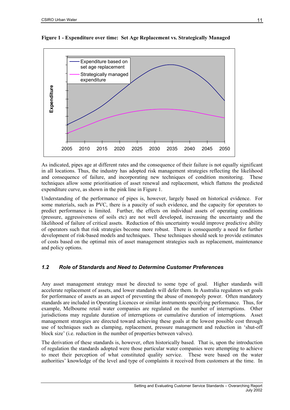

<span id="page-10-1"></span><span id="page-10-0"></span>**Figure 1 - Expenditure over time: Set Age Replacement vs. Strategically Managed** 

As indicated, pipes age at different rates and the consequence of their failure is not equally significant in all locations. Thus, the industry has adopted risk management strategies reflecting the likelihood and consequence of failure, and incorporating new techniques of condition monitoring. These techniques allow some prioritisation of asset renewal and replacement, which flattens the predicted expenditure curve, as shown in the pink line in [Figure 1.](#page-10-1)

Understanding of the performance of pipes is, however, largely based on historical evidence. For some materials, such as PVC, there is a paucity of such evidence, and the capacity for operators to predict performance is limited. Further, the effects on individual assets of operating conditions (pressure, aggressiveness of soils etc) are not well developed, increasing the uncertainty and the likelihood of failure of critical assets. Reduction of this uncertainty would improve predictive ability of operators such that risk strategies become more robust. There is consequently a need for further development of risk-based models and techniques. These techniques should seek to provide estimates of costs based on the optimal mix of asset management strategies such as replacement, maintenance and policy options.

#### *1.2 Role of Standards and Need to Determine Customer Preferences*

Any asset management strategy must be directed to some type of goal. Higher standards will accelerate replacement of assets, and lower standards will defer them. In Australia regulators set goals for performance of assets as an aspect of preventing the abuse of monopoly power. Often mandatory standards are included in Operating Licences or similar instruments specifying performance. Thus, for example, Melbourne retail water companies are regulated on the number of interruptions. Other jurisdictions may regulate duration of interruptions or cumulative duration of interruptions. Asset management strategies are directed toward achieving these goals at the lowest possible cost through use of techniques such as clamping, replacement, pressure management and reduction in 'shut-off block size' (i.e. reduction in the number of properties between valves).

The derivation of these standards is, however, often historically based. That is, upon the introduction of regulation the standards adopted were those particular water companies were attempting to achieve to meet their perception of what constituted quality service. These were based on the water authorities' knowledge of the level and type of complaints it received from customers at the time. In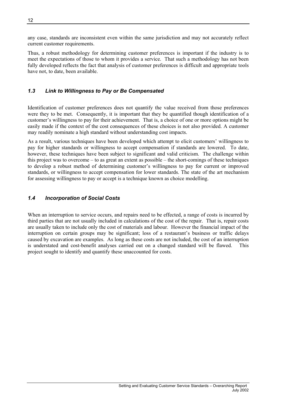<span id="page-11-0"></span>any case, standards are inconsistent even within the same jurisdiction and may not accurately reflect current customer requirements.

Thus, a robust methodology for determining customer preferences is important if the industry is to meet the expectations of those to whom it provides a service. That such a methodology has not been fully developed reflects the fact that analysis of customer preferences is difficult and appropriate tools have not, to date, been available.

### *1.3 Link to Willingness to Pay or Be Compensated*

Identification of customer preferences does not quantify the value received from those preferences were they to be met. Consequently, it is important that they be quantified though identification of a customer's willingness to pay for their achievement. That is, a choice of one or more options might be easily made if the context of the cost consequences of these choices is not also provided. A customer may readily nominate a high standard without understanding cost impacts.

As a result, various techniques have been developed which attempt to elicit customers' willingness to pay for higher standards or willingness to accept compensation if standards are lowered. To date, however, these techniques have been subject to significant and valid criticism. The challenge within this project was to overcome – to as great an extent as possible – the short-comings of these techniques to develop a robust method of determining customer's willingness to pay for current or improved standards, or willingness to accept compensation for lower standards. The state of the art mechanism for assessing willingness to pay or accept is a technique known as choice modelling.

### *1.4 Incorporation of Social Costs*

When an interruption to service occurs, and repairs need to be effected, a range of costs is incurred by third parties that are not usually included in calculations of the cost of the repair. That is, repair costs are usually taken to include only the cost of materials and labour. However the financial impact of the interruption on certain groups may be significant; loss of a restaurant's business or traffic delays caused by excavation are examples. As long as these costs are not included, the cost of an interruption is understated and cost-benefit analyses carried out on a changed standard will be flawed. This project sought to identify and quantify these unaccounted for costs.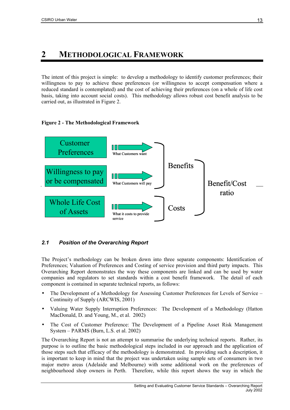## <span id="page-12-0"></span>**2 METHODOLOGICAL FRAMEWORK**

The intent of this project is simple: to develop a methodology to identify customer preferences; their willingness to pay to achieve these preferences (or willingness to accept compensation where a reduced standard is contemplated) and the cost of achieving their preferences (on a whole of life cost basis, taking into account social costs). This methodology allows robust cost benefit analysis to be carried out, as illustrated in [Figure 2.](#page-12-1)

#### <span id="page-12-1"></span>**Figure 2 - The Methodological Framework**



### *2.1 Position of the Overarching Report*

The Project's methodology can be broken down into three separate components: Identification of Preferences; Valuation of Preferences and Costing of service provision and third party impacts. This Overarching Report demonstrates the way these components are linked and can be used by water companies and regulators to set standards within a cost benefit framework. The detail of each component is contained in separate technical reports, as follows:

- The Development of a Methodology for Assessing Customer Preferences for Levels of Service Continuity of Supply (ARCWIS, 2001)
- Valuing Water Supply Interruption Preferences: The Development of a Methodology (Hatton MacDonald, D. and Young, M., et al. 2002)
- The Cost of Customer Preference: The Development of a Pipeline Asset Risk Management System – PARMS (Burn, L.S. et al. 2002)

The Overarching Report is not an attempt to summarise the underlying technical reports. Rather, its purpose is to outline the basic methodological steps included in our approach and the application of those steps such that efficacy of the methodology is demonstrated. In providing such a description, it is important to keep in mind that the project was undertaken using sample sets of consumers in two major metro areas (Adelaide and Melbourne) with some additional work on the preferences of neighbourhood shop owners in Perth. Therefore, while this report shows the way in which the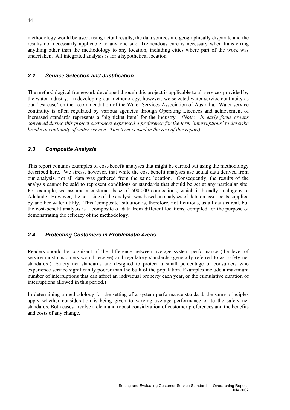<span id="page-13-0"></span>methodology would be used, using actual results, the data sources are geographically disparate and the results not necessarily applicable to any one site. Tremendous care is necessary when transferring anything other than the methodology to any location, including cities where part of the work was undertaken. All integrated analysis is for a hypothetical location.

### *2.2 Service Selection and Justification*

The methodological framework developed through this project is applicable to all services provided by the water industry. In developing our methodology, however, we selected water service continuity as our 'test case' on the recommendation of the Water Services Association of Australia. Water service continuity is often regulated by various agencies through Operating Licences and achievement of increased standards represents a 'big ticket item' for the industry. *(Note: In early focus groups convened during this project customers expressed a preference for the term 'interruptions' to describe breaks in continuity of water service. This term is used in the rest of this report).* 

### *2.3 Composite Analysis*

This report contains examples of cost-benefit analyses that might be carried out using the methodology described here. We stress, however, that while the cost benefit analyses use actual data derived from our analysis, not all data was gathered from the same location. Consequently, the results of the analysis cannot be said to represent conditions or standards that should be set at any particular site. For example, we assume a customer base of 500,000 connections, which is broadly analogous to Adelaide. However, the cost side of the analysis was based on analyses of data on asset costs supplied by another water utility. This 'composite' situation is, therefore, not fictitious, as all data is real, but the cost-benefit analysis is a composite of data from different locations, compiled for the purpose of demonstrating the efficacy of the methodology.

### *2.4 Protecting Customers in Problematic Areas*

Readers should be cognisant of the difference between average system performance (the level of service most customers would receive) and regulatory standards (generally referred to as 'safety net standards'). Safety net standards are designed to protect a small percentage of consumers who experience service significantly poorer than the bulk of the population. Examples include a maximum number of interruptions that can affect an individual property each year, or the cumulative duration of interruptions allowed in this period.)

In determining a methodology for the setting of a system performance standard, the same principles apply whether consideration is being given to varying average performance or to the safety net standards. Both cases involve a clear and robust consideration of customer preferences and the benefits and costs of any change.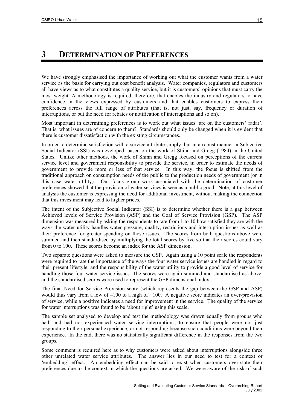### <span id="page-14-0"></span>**3 DETERMINATION OF PREFERENCES**

We have strongly emphasised the importance of working out what the customer wants from a water service as the basis for carrying out cost benefit analysis. Water companies, regulators and customers all have views as to what constitutes a quality service, but it is customers' opinions that must carry the most weight. A methodology is required, therefore, that enables the industry and regulators to have confidence in the views expressed by customers and that enables customers to express their preferences across the full range of attributes (that is, not just, say, frequency or duration of interruptions, or but the need for rebates or notification of interruptions and so on).

Most important in determining preferences is to work out what issues 'are on the customers' radar'. That is, what issues are of concern to them? Standards should only be changed when it is evident that there is customer dissatisfaction with the existing circumstances.

In order to determine satisfaction with a service attribute simply, but in a robust manner, a Subjective Social Indicator (SSI) was developed, based on the work of Shinn and Gregg (1984) in the United States. Unlike other methods, the work of Shinn and Gregg focused on perceptions of the current service level and government responsibility to provide the service, in order to estimate the needs of government to provide more or less of that service. In this way, the focus is shifted from the traditional approach on consumption needs of the public to the production needs of government (or in this case water utility). Our focus group work associated with the determination of customer preferences showed that the provision of water services is seen as a public good. Note, at this level of analysis the customer is expressing the need for additional investment, without making the connection that this investment may lead to higher prices.

The intent of the Subjective Social Indicator (SSI) is to determine whether there is a gap between Achieved levels of Service Provision (ASP) and the Goal of Service Provision (GSP). The ASP dimension was measured by asking the respondents to rate from 1 to 10 how satisfied they are with the ways the water utility handles water pressure, quality, restrictions and interruption issues as well as their preference for greater spending on those issues. The scores from both questions above were summed and then standardised by multiplying the total scores by five so that their scores could vary from 0 to 100. These scores become an index for the ASP dimension.

Two separate questions were asked to measure the GSP. Again using a 10 point scale the respondents were required to rate the importance of the ways the four water service issues are handled in regard to their present lifestyle, and the responsibility of the water utility to provide a good level of service for handling those four water service issues. The scores were again summed and standardised as above, and the standardised scores were used to represent the GSP dimensional index.

The final Need for Service Provision score (which represents the gap between the GSP and ASP) would thus vary from a low of  $-100$  to a high of  $+100$ . A negative score indicates an over-provision of service, while a positive indicates a need for improvement in the service. The quality of the service for water interruptions was found to be 'about right' using this scale.

The sample set analysed to develop and test the methodology was drawn equally from groups who had, and had not experienced water service interruptions, to ensure that people were not just responding to their personal experience, or not responding because such conditions were beyond their experience. In the end, there was no statistically significant difference in the responses from the two groups.

Some comment is required here as to why customers were asked about interruptions alongside three other unrelated water service attributes. The answer lies in our need to test for a context or 'embedding' effect. An embedding effect can be said to exist when customers over-state their preferences due to the context in which the questions are asked. We were aware of the risk of such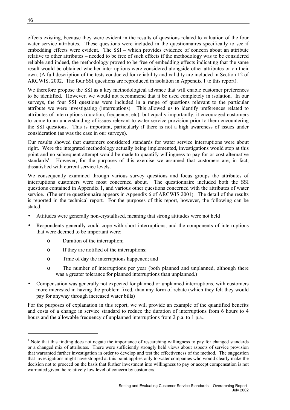effects existing, because they were evident in the results of questions related to valuation of the four water service attributes. These questions were included in the questionnaires specifically to see if embedding effects were evident. The SSI – which provides evidence of concern about an attribute relative to other attributes – needed to be free of such effects if the methodology was to be considered reliable and indeed, the methodology proved to be free of embedding effects indicating that the same result would be obtained whether interruptions were considered alongside other attributes or on their own. (A full description of the tests conducted for reliability and validity are included in Section 12 of ARCWIS, 2002. The four SSI questions are reproduced in isolation in Appendix 1 to this report).

We therefore propose the SSI as a key methodological advance that will enable customer preferences to be identified. However, we would not recommend that it be used completely in isolation. In our surveys, the four SSI questions were included in a range of questions relevant to the particular attribute we were investigating (interruptions). This allowed us to identify preferences related to attributes of interruptions (duration, frequency, etc), but equally importantly, it encouraged customers to come to an understanding of issues relevant to water service provision prior to them encountering the SSI questions. This is important, particularly if there is not a high awareness of issues under consideration (as was the case in our surveys).

Our results showed that customers considered standards for water service interruptions were about right. Were the integrated methodology actually being implemented, investigations would stop at this point and no subsequent attempt would be made to quantify willingness to pay for or cost alternative standards<sup>1</sup>. However, for the purposes of this exercise we assumed that customers are, in fact, dissatisfied with current service levels.

We consequently examined through various survey questions and focus groups the attributes of interruptions customers were most concerned about. The questionnaire included both the SSI questions contained in Appendix 1, and various other questions concerned with the attributes of water service. (The entire questionnaire appears in Appendix 6 of ARCWIS 2001). The detail of the results is reported in the technical report. For the purposes of this report, however, the following can be stated:

- Attitudes were generally non-crystallised, meaning that strong attitudes were not held
- Respondents generally could cope with short interruptions, and the components of interruptions that were deemed to be important were:
	- o Duration of the interruption;
	- o If they are notified of the interruptions;
	- o Time of day the interruptions happened; and
	- o The number of interruptions per year (both planned and unplanned, although there was a greater tolerance for planned interruptions than unplanned.)
- Compensation was generally not expected for planned or unplanned interruptions, with customers more interested in having the problem fixed, than any form of rebate (which they felt they would pay for anyway through increased water bills)

For the purposes of explanation in this report, we will provide an example of the quantified benefits and costs of a change in service standard to reduce the duration of interruptions from 6 hours to 4 hours and the allowable frequency of unplanned interruptions from 2 p.a. to 1 p.a..

l

<span id="page-15-0"></span><sup>&</sup>lt;sup>1</sup> Note that this finding does not negate the importance of researching willingness to pay for changed standards or a changed mix of attributes. There were sufficiently strongly held views about aspects of service provision that warranted further investigation in order to develop and test the effectiveness of the method. The suggestion that investigations might have stopped at this point applies only to water companies who would clearly make the decision not to proceed on the basis that further investment into willingness to pay or accept compensation is not warranted given the relatively low level of concern by customers.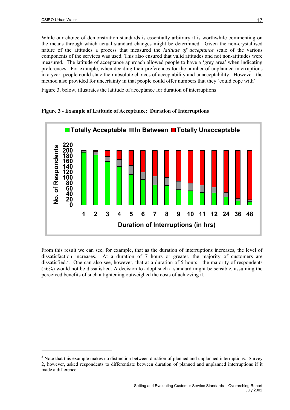<span id="page-16-0"></span>While our choice of demonstration standards is essentially arbitrary it is worthwhile commenting on the means through which actual standard changes might be determined. Given the non-crystallised nature of the attitudes a process that measured the *latitude of acceptance* scale of the various components of the services was used. This also ensured that valid attitudes and not non-attitudes were measured. The latitude of acceptance approach allowed people to have a 'grey area' when indicating preferences. For example, when deciding their preferences for the number of unplanned interruptions in a year, people could state their absolute choices of acceptability and unacceptability. However, the method also provided for uncertainty in that people could offer numbers that they 'could cope with'.

[Figure 3,](#page-16-1) below, illustrates the latitude of acceptance for duration of interruptions



<span id="page-16-1"></span>**Figure 3 - Example of Latitude of Acceptance: Duration of Interruptions** 

From this result we can see, for example, that as the duration of interruptions increases, the level of dissatisfaction increases. At a duration of 7 hours or greater, the majority of customers are dissatisfied.<sup>2</sup>. One can also see, however, that at a duration of 5 hours the majority of respondents (56%) would not be dissatisfied. A decision to adopt such a standard might be sensible, assuming the perceived benefits of such a tightening outweighed the costs of achieving it.

<span id="page-16-2"></span> $2$  Note that this example makes no distinction between duration of planned and unplanned interruptions. Survey 2, however, asked respondents to differentiate between duration of planned and unplanned interruptions if it made a difference.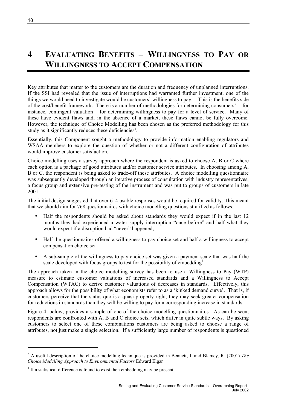# <span id="page-17-0"></span>**4 EVALUATING BENEFITS – WILLINGNESS TO PAY OR WILLINGNESS TO ACCEPT COMPENSATION**

Key attributes that matter to the customers are the duration and frequency of unplanned interruptions. If the SSI had revealed that the issue of interruptions had warranted further investment, one of the things we would need to investigate would be customers' willingness to pay. This is the benefits side of the cost/benefit framework. There is a number of methodologies for determining consumers' - for instance, contingent valuation – for determining willingness to pay for a level of service. Many of these have evident flaws and, in the absence of a market, these flaws cannot be fully overcome. However, the technique of Choice Modelling has been chosen as the preferred methodology for this study as it significantly reduces these deficiencies<sup>3</sup>.

Essentially, this Component sought a methodology to provide information enabling regulators and WSAA members to explore the question of whether or not a different configuration of attributes would improve customer satisfaction.

Choice modelling uses a survey approach where the respondent is asked to choose A, B or C where each option is a package of good attributes and/or customer service attributes. In choosing among A, B or C, the respondent is being asked to trade-off these attributes. A choice modelling questionnaire was subsequently developed through an iterative process of consultation with industry representatives, a focus group and extensive pre-testing of the instrument and was put to groups of customers in late 2001

The initial design suggested that over 614 usable responses would be required for validity. This meant that we should aim for 768 questionnaires with choice modelling questions stratified as follows:

- Half the respondents should be asked about standards they would expect if in the last 12 months they had experienced a water supply interruption "once before" and half what they would expect if a disruption had "never" happened;
- Half the questionnaires offered a willingness to pay choice set and half a willingness to accept compensation choice set
- A sub-sample of the willingness to pay choice set was given a payment scale that was half the scale developed with focus groups to test for the possibility of embedding<sup>[4](#page-17-2)</sup>.

The approach taken in the choice modelling survey has been to use a Willingness to Pay (WTP) measure to estimate customer valuations of increased standards and a Willingness to Accept Compensation (WTAC) to derive customer valuations of decreases in standards. Effectively, this approach allows for the possibility of what economists refer to as a 'kinked demand curve'. That is, if customers perceive that the status quo is a quasi-property right, they may seek greater compensation for reductions in standards than they will be willing to pay for a corresponding increase in standards.

[Figure 4,](#page-19-0) below, provides a sample of one of the choice modelling questionnaires. As can be seen, respondents are confronted with A, B and C choice sets, which differ in quite subtle ways. By asking customers to select one of these combinations customers are being asked to choose a range of attributes, not just make a single selection. If a sufficiently large number of respondents is questioned

l

<span id="page-17-1"></span><sup>&</sup>lt;sup>3</sup> A useful description of the choice modelling technique is provided in Bennett, J. and Blamey, R. (2001) *The Choice Modelling Approach to Environmental Factors* Edward Elgar

<span id="page-17-2"></span><sup>&</sup>lt;sup>4</sup> If a statistical difference is found to exist then embedding may be present.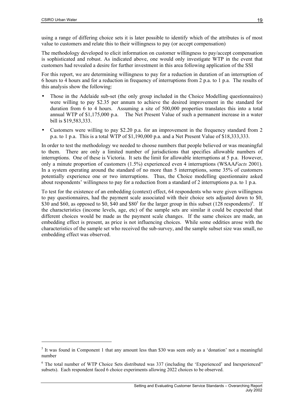$\overline{a}$ 

using a range of differing choice sets it is later possible to identify which of the attributes is of most value to customers and relate this to their willingness to pay (or accept compensation)

The methodology developed to elicit information on customer willingness to pay/accept compensation is sophisticated and robust. As indicated above, one would only investigate WTP in the event that customers had revealed a desire for further investment in this area following application of the SSI

For this report, we are determining willingness to pay for a reduction in duration of an interruption of 6 hours to 4 hours and for a reduction in frequency of interruptions from 2 p.a. to 1 p.a. The results of this analysis show the following:

- Those in the Adelaide sub-set (the only group included in the Choice Modelling questionnaires) were willing to pay \$2.35 per annum to achieve the desired improvement in the standard for duration from 6 to 4 hours. Assuming a site of 500,000 properties translates this into a total annual WTP of \$1,175,000 p.a. The Net Present Value of such a permanent increase in a water bill is \$19,583,333.
- Customers were willing to pay \$2.20 p.a. for an improvement in the frequency standard from 2 p.a. to 1 p.a. This is a total WTP of \$1,190,000 p.a. and a Net Present Value of \$18,333,333.

In order to test the methodology we needed to choose numbers that people believed or was meaningful to them. There are only a limited number of jurisdictions that specifies allowable numbers of interruptions. One of these is Victoria. It sets the limit for allowable interruptions at 5 p.a. However, only a minute proportion of customers (1.5%) experienced even 4 interruptions (WSAA*Facts* 2001). In a system operating around the standard of no more than 5 interruptions, some 35% of customers potentially experience one or two interruptions. Thus, the Choice modelling questionnaire asked about respondents' willingness to pay for a reduction from a standard of 2 interruptions p.a. to 1 p.a.

To test for the existence of an embedding (context) effect, 64 respondents who were given willingness to pay questionnaires, had the payment scale associated with their choice sets adjusted down to \$0, \$30 and \$60, as opposed to \$0, \$40 and \$80<sup>[5](#page-18-0)</sup> for the larger group in this subset  $(128$  respondents)<sup>6</sup>[.](#page-18-1) If the characteristics (income levels, age, etc) of the sample sets are similar it could be expected that different choices would be made as the payment scale changes. If the same choices are made, an embedding effect is present, as price is not influencing choices. While some oddities arose with the characteristics of the sample set who received the sub-survey, and the sample subset size was small, no embedding effect was observed.

<span id="page-18-0"></span> $<sup>5</sup>$  It was found in Component 1 that any amount less than \$30 was seen only as a 'donation' not a meaningful</sup> number

<span id="page-18-1"></span><sup>&</sup>lt;sup>6</sup> The total number of WTP Choice Sets distributed was 337 (including the 'Experienced' and Inexperienced' subsets). Each respondent faced 6 choice experiments allowing 2022 choices to be observed.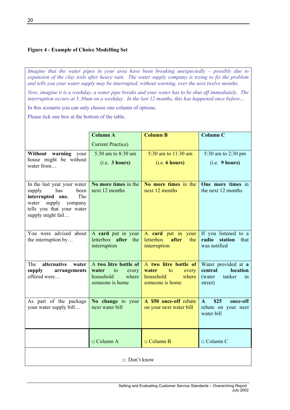### <span id="page-19-1"></span><span id="page-19-0"></span>**Figure 4 - Example of Choice Modelling Set**

*Imagine that the water pipes in your area have been breaking unexpectedly – possibly due to expansion of the clay soils after heavy rain. The water supply company is trying to fix the problem and tells you your water supply may be interrupted, without warning, over the next twelve months.* 

*Now, imagine it is a weekday, a water pipe breaks and your water has to be shut off immediately. The interruption occurs at 5:30am on a weekday. In the last 12 months, this has happened once before…* 

In this scenario you can only choose one column of options.

Please tick one box at the bottom of the table.

|                                                                                                                                                                 | <b>Column A</b><br><b>Column B</b>                            |                                                                        |                                                                       |  |  |  |
|-----------------------------------------------------------------------------------------------------------------------------------------------------------------|---------------------------------------------------------------|------------------------------------------------------------------------|-----------------------------------------------------------------------|--|--|--|
|                                                                                                                                                                 | <b>Current Practice</b> )                                     |                                                                        |                                                                       |  |  |  |
| Without warning your                                                                                                                                            | 5:30 am to 8:30 am                                            | 5:30 am to 11:30 am                                                    | 5:30 am to 2:30 pm                                                    |  |  |  |
| house might be without<br>water from                                                                                                                            | (i.e. 3 hours)                                                | (i.e. 6 hours)                                                         | (i.e. 9 hours)                                                        |  |  |  |
|                                                                                                                                                                 |                                                               |                                                                        |                                                                       |  |  |  |
| In the last year your water<br>has<br>been<br>supply<br>interrupted one.<br>The<br>supply<br>company<br>water<br>tells you that your water<br>supply might fail | No more times in the<br>next 12 months                        | No more times in the<br>next 12 months                                 | One more times in<br>the next 12 months                               |  |  |  |
| You were advised about<br>the interruption by                                                                                                                   | A card put in your<br>letterbox after<br>the<br>interruption  | A card put in your<br><b>letterbox</b><br>after<br>the<br>interruption | If you listened to a<br>radio<br>station<br>that<br>was notified      |  |  |  |
| alternative<br>The<br>water                                                                                                                                     | A two litre bottle of                                         | A two litre bottle of                                                  | Water provided at a                                                   |  |  |  |
| supply<br>arrangements<br>offered were                                                                                                                          | water<br>to<br>every<br>household<br>where<br>someone is home | water<br>to<br>every<br>household<br>where<br>someone is home          | location<br>central<br>tanker<br>(water)<br>in<br>street)             |  |  |  |
| As part of the package<br>your water supply bill                                                                                                                | No change to your<br>next water bill                          | A \$50 once-off rebate<br>on your next water bill                      | \$25<br>$\mathbf{A}$<br>once-off<br>rebate on your next<br>water bill |  |  |  |
|                                                                                                                                                                 | $\Box$ Column A                                               | $\Box$ Column B                                                        | $\Box$ Column C                                                       |  |  |  |
| $\Box$ Don't know                                                                                                                                               |                                                               |                                                                        |                                                                       |  |  |  |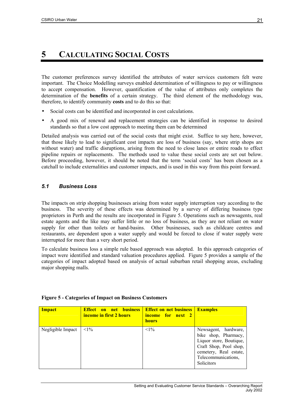# <span id="page-20-0"></span>**5 CALCULATING SOCIAL COSTS**

The customer preferences survey identified the attributes of water services customers felt were important. The Choice Modelling surveys enabled determination of willingness to pay or willingness to accept compensation. However, quantification of the value of attributes only completes the determination of the **benefits** of a certain strategy. The third element of the methodology was, therefore, to identify community **costs** and to do this so that:

- Social costs can be identified and incorporated in cost calculations.
- A good mix of renewal and replacement strategies can be identified in response to desired standards so that a low cost approach to meeting them can be determined

Detailed analysis was carried out of the social costs that might exist. Suffice to say here, however, that those likely to lead to significant cost impacts are loss of business (say, where strip shops are without water) and traffic disruptions, arising from the need to close lanes or entire roads to effect pipeline repairs or replacements. The methods used to value these social costs are set out below. Before proceeding, however, it should be noted that the term 'social costs' has been chosen as a catchall to include externalities and customer impacts, and is used in this way from this point forward.

### *5.1 Business Loss*

The impacts on strip shopping businesses arising from water supply interruption vary according to the business. The severity of these effects was determined by a survey of differing business type proprietors in Perth and the results are incorporated in [Figure 5.](#page-20-1) Operations such as newsagents, real estate agents and the like may suffer little or no loss of business, as they are not reliant on water supply for other than toilets or hand-basins. Other businesses, such as childcare centres and restaurants, are dependent upon a water supply and would be forced to close if water supply were interrupted for more than a very short period.

To calculate business loss a simple rule based approach was adopted. In this approach categories of impact were identified and standard valuation procedures applied. [Figure 5](#page-20-1) provides a sample of the categories of impact adopted based on analysis of actual suburban retail shopping areas, excluding major shopping malls.

| <b>Impact</b>     | <b>Effect on net business</b><br>income in first 2 hours | <b>Effect on net business</b><br>income for next 2<br><b>hours</b> | <b>Examples</b>                                                                                                                                                         |
|-------------------|----------------------------------------------------------|--------------------------------------------------------------------|-------------------------------------------------------------------------------------------------------------------------------------------------------------------------|
| Negligible Impact | $<1\%$                                                   | ${<}1\%$                                                           | Newsagent, hardware,<br>bike shop, Pharmacy,<br>Liquor store, Boutique,<br>Craft Shop, Pool shop,<br>cemetery, Real estate,<br>Telecommunications,<br><b>Solicitors</b> |

#### <span id="page-20-1"></span>**Figure 5 - Categories of Impact on Business Customers**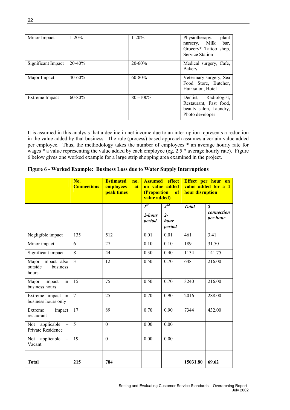<span id="page-21-0"></span>

| Minor Impact       | $1 - 20%$   | $1 - 20%$    | Physiotherapy,<br>plant<br>nursery, Milk<br>bar.<br>Grocery* Tattoo shop,<br><b>Service Station</b> |  |  |
|--------------------|-------------|--------------|-----------------------------------------------------------------------------------------------------|--|--|
| Significant Impact | $20 - 40%$  | $20 - 60%$   | Medical surgery, Café,<br>Bakery                                                                    |  |  |
| Major Impact       | $40 - 60%$  | $60 - 80%$   | Veterinary surgery, Sea<br>Food Store, Butcher,<br>Hair salon, Hotel                                |  |  |
| Extreme Impact     | $60 - 80\%$ | $80 - 100\%$ | Radiologist,<br>Dentist,<br>Restaurant, Fast food,<br>beauty salon, Laundry,<br>Photo developer     |  |  |

It is assumed in this analysis that a decline in net income due to an interruption represents a reduction in the value added by that business. The rule (process) based approach assumes a certain value added per employee. Thus, the methodology takes the number of employees \* an average hourly rate for wages \* a value representing the value added by each employee (eg, 2.5 \* average hourly rate). [Figure](#page-21-1) [6](#page-21-1) below gives one worked example for a large strip shopping area examined in the project.

<span id="page-21-1"></span>**Figure 6 - Worked Example: Business Loss due to Water Supply Interruptions** 

|                                                             | No.<br><b>Connections</b> | <b>Estimated</b><br>no.<br>employees<br>at<br>peak times | <b>Assumed</b> effect<br>on value added<br>(Proportion<br>of<br>value added) |                                     | Effect per hour on<br>value added for a 4<br>hour disruption |                                            |
|-------------------------------------------------------------|---------------------------|----------------------------------------------------------|------------------------------------------------------------------------------|-------------------------------------|--------------------------------------------------------------|--------------------------------------------|
|                                                             |                           |                                                          | $I^{st}$<br>$2$ -hour<br>period                                              | $2^{nd}$<br>$2 -$<br>hour<br>period | <b>Total</b>                                                 | $\boldsymbol{s}$<br>connection<br>per hour |
| Negligible impact                                           | 135                       | 512                                                      | 0.01                                                                         | 0.01                                | 461                                                          | 3.41                                       |
| Minor impact                                                | 6                         | 27                                                       | 0.10                                                                         | 0.10                                | 189                                                          | 31.50                                      |
| Significant impact                                          | 8                         | 44                                                       | 0.30                                                                         | 0.40                                | 1134                                                         | 141.75                                     |
| Major impact also<br>outside<br>business<br>hours           | $\overline{3}$            | 12                                                       | 0.50                                                                         | 0.70                                | 648                                                          | 216.00                                     |
| $\overline{\text{in}}$<br>Major<br>impact<br>business hours | $1\overline{5}$           | 75                                                       | 0.50                                                                         | 0.70                                | 3240                                                         | 216.00                                     |
| Extreme impact in<br>business hours only                    | $\overline{7}$            | 25                                                       | $\overline{0.70}$                                                            | 0.90                                | 2016                                                         | 288.00                                     |
| Extreme<br>impact<br>restaurant                             | $\overline{17}$           | 89                                                       | 0.70                                                                         | 0.90                                | 7344                                                         | 432.00                                     |
| applicable<br>Not<br>Private Residence                      | $\overline{5}$            | $\mathbf{0}$                                             | 0.00                                                                         | 0.00                                |                                                              |                                            |
| Not applicable<br>Vacant                                    | 19                        | $\theta$                                                 | 0.00                                                                         | 0.00                                |                                                              |                                            |
|                                                             |                           |                                                          |                                                                              |                                     |                                                              |                                            |
| <b>Total</b>                                                | 215                       | 784                                                      |                                                                              |                                     | 15031.80                                                     | 69.62                                      |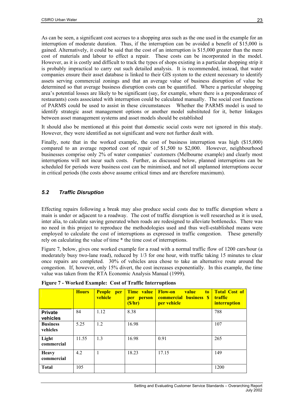<span id="page-22-0"></span>As can be seen, a significant cost accrues to a shopping area such as the one used in the example for an interruption of moderate duration. Thus, if the interruption can be avoided a benefit of \$15,000 is gained. Alternatively, it could be said that the cost of an interruption is \$15,000 greater than the mere cost of materials and labour to effect a repair. These costs can be incorporated in the model. However, as it is costly and difficult to track the types of shops existing in a particular shopping strip it is probably impractical to carry out such detailed analysis. It is recommended, instead, that water companies ensure their asset database is linked to their GIS system to the extent necessary to identify assets serving commercial zonings and that an average value of business disruption of value be determined so that average business disruption costs can be quantified. Where a particular shopping area's potential losses are likely to be significant (say, for example, where there is a preponderance of restaurants) costs associated with interruption could be calculated manually. The social cost functions of PARMS could be used to assist in these circumstances Whether the PARMS model is used to identify strategic asset management options or another model substituted for it, better linkages between asset management systems and asset models should be established

It should also be mentioned at this point that domestic social costs were not ignored in this study. However, they were identified as not significant and were not further dealt with.

Finally, note that in the worked example, the cost of business interruption was high (\$15,000) compared to an average reported cost of repair of \$1,500 to \$2,000. However, neighbourhood businesses comprise only 2% of water companies' customers (Melbourne example) and clearly most interruptions will not incur such costs. Further, as discussed below, planned interruptions can be scheduled for periods were business cost can be minimised, and not all unplanned interruptions occur in critical periods (the costs above assume critical times and are therefore maximum).

### *5.2 Traffic Disruption*

Effecting repairs following a break may also produce social costs due to traffic disruption where a main is under or adjacent to a roadway. The cost of traffic disruption is well researched as it is used, inter alia, to calculate saving generated when roads are redesigned to alleviate bottlenecks. There was no need in this project to reproduce the methodologies used and thus well-established means were employed to calculate the cost of interruptions as expressed in traffic congestion. These generally rely on calculating the value of time \* the time cost of interruptions.

[Figure 7,](#page-22-1) below, gives one worked example for a road with a normal traffic flow of 1200 cars/hour (a moderately busy two-lane road), reduced by 1/3 for one hour, with traffic taking 15 minutes to clear once repairs are completed. 30% of vehicles area chose to take an alternative route around the congestion. If, however, only 15% divert, the cost increases exponentially. In this example, the time value was taken from the RTA Economic Analysis Manual (1999).

|                             | <b>Hours</b> | <b>People</b><br><b>per</b><br>vehicle | Time value<br>per person<br>(S/hr) | <b>Flow-on</b><br><b>value</b><br>t <sub>o</sub><br><b>commercial business \$</b><br>per vehicle | <b>Total Cost of</b><br><b>traffic</b><br><i>interruption</i> |
|-----------------------------|--------------|----------------------------------------|------------------------------------|--------------------------------------------------------------------------------------------------|---------------------------------------------------------------|
| <b>Private</b><br>vehicles  | 84           | 1.12                                   | 8.38                               |                                                                                                  | 788                                                           |
| <b>Business</b><br>vehicles | 5.25         | 1.2                                    | 16.98                              |                                                                                                  | 107                                                           |
| Light<br>commercial         | 11.55        | 1.3                                    | 16.98                              | 0.91                                                                                             | 265                                                           |
| <b>Heavy</b><br>commercial  | 4.2          |                                        | 18.23                              | 17.15                                                                                            | 149                                                           |
| <b>Total</b>                | 105          |                                        |                                    |                                                                                                  | 1200                                                          |

<span id="page-22-1"></span>**Figure 7 - Worked Example: Cost of Traffic Interruptions**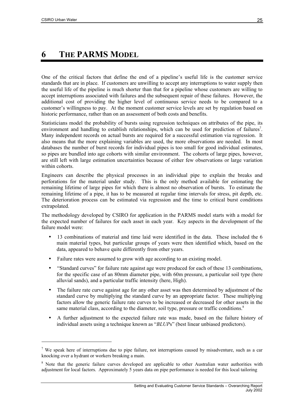$\overline{a}$ 

# <span id="page-24-0"></span>**6 THE PARMS MODEL**

One of the critical factors that define the end of a pipeline's useful life is the customer service standards that are in place. If customers are unwilling to accept any interruptions to water supply then the useful life of the pipeline is much shorter than that for a pipeline whose customers are willing to accept interruptions associated with failures and the subsequent repair of these failures. However, the additional cost of providing the higher level of continuous service needs to be compared to a customer's willingness to pay. At the moment customer service levels are set by regulation based on historic performance, rather than on an assessment of both costs and benefits.

Statisticians model the probability of bursts using regression techniques on attributes of the pipe, its environment and handling to establish relationships, which can be used for prediction of failures<sup>[7](#page-24-1)</sup>. Many independent records on actual bursts are required for a successful estimation via regression. It also means that the more explaining variables are used, the more observations are needed. In most databases the number of burst records for individual pipes is too small for good individual estimates, so pipes are bundled into age cohorts with similar environment. The cohorts of large pipes, however, are still left with large estimation uncertainties because of either few observations or large variation within cohorts.

Engineers can describe the physical processes in an individual pipe to explain the breaks and perforations for the material under study. This is the only method available for estimating the remaining lifetime of large pipes for which there is almost no observation of bursts. To estimate the remaining lifetime of a pipe, it has to be measured at regular time intervals for stress, pit depth, etc. The deterioration process can be estimated via regression and the time to critical burst conditions extrapolated.

The methodology developed by CSIRO for application in the PARMS model starts with a model for the expected number of failures for each asset in each year. Key aspects in the development of the failure model were:

- 13 combinations of material and time laid were identified in the data. These included the 6 main material types, but particular groups of years were then identified which, based on the data, appeared to behave quite differently from other years.
- Failure rates were assumed to grow with age according to an existing model.
- "Standard curves" for failure rate against age were produced for each of these 13 combinations, for the specific case of an 80mm diameter pipe, with 60m pressure, a particular soil type (here alluvial sands), and a particular traffic intensity (here, High).
- The failure rate curve against age for any other asset was then determined by adjustment of the standard curve by multiplying the standard curve by an appropriate factor. These multiplying factors allow the generic failure rate curves to be increased or decreased for other assets in the same material class, according to the diameter, soil type, pressure or traffic conditions.<sup>[8](#page-24-2)</sup>
- A further adjustment to the expected failure rate was made, based on the failure history of individual assets using a technique known as "*BLUP*s" (best linear unbiased predictors).

<span id="page-24-1"></span><sup>&</sup>lt;sup>7</sup> We speak here of interruptions due to pipe failure, not interruptions caused by misadventure, such as a car knocking over a hydrant or workers breaking a main.

<span id="page-24-2"></span><sup>&</sup>lt;sup>8</sup> Note that the generic failure curves developed are applicable to other Australian water authorities with adjustment for local factors. Approximately 5 years data on pipe performance is needed for this local tailoring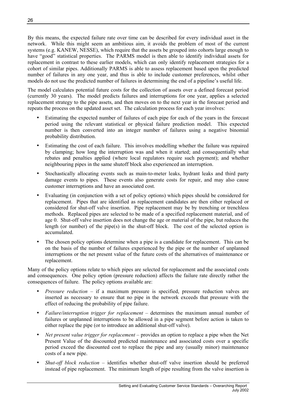By this means, the expected failure rate over time can be described for every individual asset in the network. While this might seem an ambitious aim, it avoids the problem of most of the current systems (e.g. KANEW, NESSE), which require that the assets be grouped into cohorts large enough to have "good" statistical properties. The PARMS model is then able to identify individual assets for replacement in contrast to these earlier models, which can only identify replacement strategies for a cohort of similar pipes. Additionally PARMS is able to assess replacement based upon the predicted number of failures in any one year, and thus is able to include customer preferences, whilst other models do not use the predicted number of failures in determining the end of a pipeline's useful life.

The model calculates potential future costs for the collection of assets over a defined forecast period (currently 30 years). The model predicts failures and interruptions for one year, applies a selected replacement strategy to the pipe assets, and then moves on to the next year in the forecast period and repeats the process on the updated asset set. The calculation process for each year involves:

- Estimating the expected number of failures of each pipe for each of the years in the forecast period using the relevant statistical or physical failure prediction model. This expected number is then converted into an integer number of failures using a negative binomial probability distribution.
- Estimating the cost of each failure. This involves modelling whether the failure was repaired by clamping; how long the interruption was and when it started; and consequentially what rebates and penalties applied (where local regulators require such payment); and whether neighbouring pipes in the same shutoff block also experienced an interruption.
- Stochastically allocating events such as main-to-meter leaks, hydrant leaks and third party damage events to pipes. These events also generate costs for repair, and may also cause customer interruptions and have an associated cost.
- Evaluating (in conjunction with a set of policy options) which pipes should be considered for replacement. Pipes that are identified as replacement candidates are then either replaced or considered for shut-off valve insertion. Pipe replacement may be by trenching or trenchless methods. Replaced pipes are selected to be made of a specified replacement material, and of age 0. Shut-off valve insertion does not change the age or material of the pipe, but reduces the length (or number) of the pipe(s) in the shut-off block. The cost of the selected option is accumulated.
- The chosen policy options determine when a pipe is a candidate for replacement. This can be on the basis of the number of failures experienced by the pipe or the number of unplanned interruptions or the net present value of the future costs of the alternatives of maintenance or replacement.

Many of the policy options relate to which pipes are selected for replacement and the associated costs and consequences. One policy option (pressure reduction) affects the failure rate directly rather the consequences of failure. The policy options available are:

- *Pressure reduction* if a maximum pressure is specified, pressure reduction valves are inserted as necessary to ensure that no pipe in the network exceeds that pressure with the effect of reducing the probability of pipe failure.
- *Failure/interruption trigger for replacement* determines the maximum annual number of failures or unplanned interruptions to be allowed in a pipe segment before action is taken to either replace the pipe (or to introduce an additional shut-off valve).
- *Net present value trigger for replacement* provides an option to replace a pipe when the Net Present Value of the discounted predicted maintenance and associated costs over a specific period exceed the discounted cost to replace the pipe and any (usually minor) maintenance costs of a new pipe.
- *Shut-off block reduction* identifies whether shut-off valve insertion should be preferred instead of pipe replacement. The minimum length of pipe resulting from the valve insertion is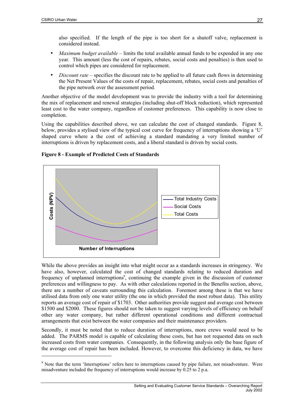<span id="page-26-1"></span>also specified. If the length of the pipe is too short for a shutoff valve, replacement is considered instead.

- *Maximum budget available* limits the total available annual funds to be expended in any one year. This amount (less the cost of repairs, rebates, social costs and penalties) is then used to control which pipes are considered for replacement.
- *Discount rate* specifies the discount rate to be applied to all future cash flows in determining the Net Present Values of the costs of repair, replacement, rebates, social costs and penalties of the pipe network over the assessment period.

Another objective of the model development was to provide the industry with a tool for determining the mix of replacement and renewal strategies (including shut-off block reduction), which represented least cost to the water company, regardless of customer preferences. This capability is now close to completion.

Using the capabilities described above, we can calculate the cost of changed standards. [Figure 8,](#page-26-0) below, provides a stylised view of the typical cost curve for frequency of interruptions showing a 'U' shaped curve where a the cost of achieving a standard mandating a very limited number of interruptions is driven by replacement costs, and a liberal standard is driven by social costs.

#### <span id="page-26-0"></span>**Figure 8 - Example of Predicted Costs of Standards**



While the above provides an insight into what might occur as a standards increases in stringency. We have also, however, calculated the cost of changed standards relating to reduced duration and frequency of unplanned interruptions<sup>[9](#page-26-2)</sup>, continuing the example given in the discussion of customer preferences and willingness to pay. As with other calculations reported in the Benefits section, above, there are a number of caveats surrounding this calculation. Foremost among these is that we have utilised data from only one water utility (the one in which provided the most robust data). This utility reports an average cost of repair of \$1703. Other authorities provide suggest and average cost between \$1500 and \$2000. These figures should not be taken to suggest varying levels of efficiency on behalf other any water company, but rather different operational conditions and different contractual arrangements that exist between the water companies and their maintenance providers.

Secondly, it must be noted that to reduce duration of interruptions, more crews would need to be added. The PARMS model is capable of calculating these costs, but has not requested data on such increased costs from water companies. Consequently, in the following analysis only the base figure of the average cost of repair has been included. However, to overcome this deficiency in data, we have

<span id="page-26-2"></span><sup>&</sup>lt;sup>9</sup> Note that the term 'Interruptions' refers here to interruptions caused by pipe failure, not misadventure. Were misadventure included the frequency of interruptions would increase by 0.25 to 2 p.a.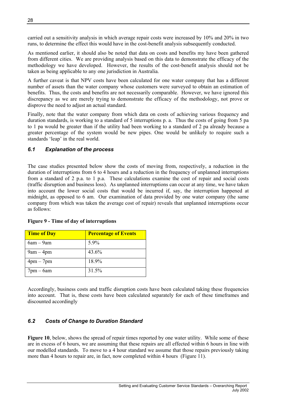<span id="page-27-0"></span>carried out a sensitivity analysis in which average repair costs were increased by 10% and 20% in two runs, to determine the effect this would have in the cost-benefit analysis subsequently conducted.

As mentioned earlier, it should also be noted that data on costs and benefits my have been gathered from different cities. We are providing analysis based on this data to demonstrate the efficacy of the methodology we have developed. However, the results of the cost-benefit analysis should not be taken as being applicable to any one jurisdiction in Australia.

A further caveat is that NPV costs have been calculated for one water company that has a different number of assets than the water company whose customers were surveyed to obtain an estimation of benefits. Thus, the costs and benefits are not necessarily comparable. However, we have ignored this discrepancy as we are merely trying to demonstrate the efficacy of the methodology, not prove or disprove the need to adjust an actual standard.

Finally, note that the water company from which data on costs of achieving various frequency and duration standards, is working to a standard of 5 interruptions p. a. Thus the costs of going from 5 pa to 1 pa would be greater than if the utility had been working to a standard of 2 pa already because a greater percentage of the system would be new pipes. One would be unlikely to require such a standards 'leap' in the real world.

### *6.1 Explanation of the process*

The case studies presented below show the costs of moving from, respectively, a reduction in the duration of interruptions from 6 to 4 hours and a reduction in the frequency of unplanned interruptions from a standard of 2 p.a. to 1 p.a. These calculations examine the cost of repair and social costs (traffic disruption and business loss). As unplanned interruptions can occur at any time, we have taken into account the lower social costs that would be incurred if, say, the interruption happened at midnight, as opposed to 6 am. Our examination of data provided by one water company (the same company from which was taken the average cost of repair) reveals that unplanned interruptions occur as follows:

| <b>Time of Day</b> | <b>Percentage of Events</b> |
|--------------------|-----------------------------|
| $6am - 9am$        | 5.9%                        |
| $9am - 4pm$        | 43.6%                       |
| $4pm-7pm$          | 18.9%                       |
| $7$ pm $-6$ am     | 31.5%                       |

#### **Figure 9 - Time of day of interruptions**

Accordingly, business costs and traffic disruption costs have been calculated taking these frequencies into account. That is, these costs have been calculated separately for each of these timeframes and discounted accordingly

### *6.2 Costs of Change to Duration Standard*

[Figure 10](#page-28-1), below, shows the spread of repair times reported by one water utility. While some of these are in excess of 6 hours, we are assuming that these repairs are all effected within 6 hours in line with our modelled standards. To move to a 4 hour standard we assume that those repairs previously taking more than 4 hours to repair are, in fact, now completed within 4 hours ([Figure 11\)](#page-28-2).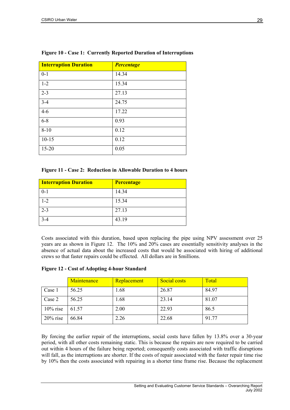| <b>Interruption Duration</b> | <b>Percentage</b> |
|------------------------------|-------------------|
| $0 - 1$                      | 14.34             |
| $1 - 2$                      | 15.34             |
| $2 - 3$                      | 27.13             |
| $3 - 4$                      | 24.75             |
| $4 - 6$                      | 17.22             |
| $6 - 8$                      | 0.93              |
| $8 - 10$                     | 0.12              |
| $10 - 15$                    | 0.12              |
| $15 - 20$                    | 0.05              |

### <span id="page-28-1"></span><span id="page-28-0"></span>**Figure 10 - Case 1: Currently Reported Duration of Interruptions**

#### <span id="page-28-2"></span>**Figure 11 - Case 2: Reduction in Allowable Duration to 4 hours**

| <b>Interruption Duration</b> | <b>Percentage</b> |
|------------------------------|-------------------|
| $0 - 1$                      | 14.34             |
| $1 - 2$                      | 15.34             |
| $2 - 3$                      | 27.13             |
| $3 - 4$                      | 43.19             |

Costs associated with this duration, based upon replacing the pipe using NPV assessment over 25 years are as shown in [Figure 12.](#page-28-3) The 10% and 20% cases are essentially sensitivity analyses in the absence of actual data about the increased costs that would be associated with hiring of additional crews so that faster repairs could be effected. All dollars are in \$millions.

<span id="page-28-3"></span>

| <b>Figure 12 - Cost of Adopting 4-hour Standard</b> |  |  |  |  |
|-----------------------------------------------------|--|--|--|--|
|                                                     |  |  |  |  |

|             | Maintenance | Replacement | Social costs | Total |
|-------------|-------------|-------------|--------------|-------|
| Case 1      | 56.25       | 1.68        | 26.87        | 84.97 |
| Case 2      | 56.25       | 1.68        | 23.14        | 81.07 |
| $10\%$ rise | 61.57       | 2.00        | 22.93        | 86.5  |
| $20\%$ rise | 66.84       | 2.26        | 22.68        | 91.77 |

By forcing the earlier repair of the interruptions, social costs have fallen by 13.8% over a 30-year period, with all other costs remaining static. This is because the repairs are now required to be carried out within 4 hours of the failure being reported; consequently costs associated with traffic disruptions will fall, as the interruptions are shorter. If the costs of repair associated with the faster repair time rise by 10% then the costs associated with repairing in a shorter time frame rise. Because the replacement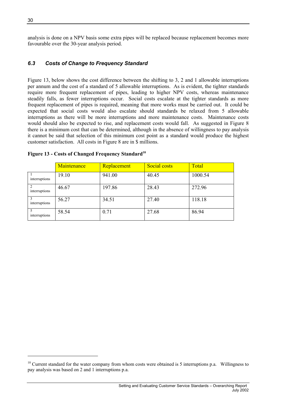<span id="page-29-0"></span>analysis is done on a NPV basis some extra pipes will be replaced because replacement becomes more favourable over the 30-year analysis period.

### *6.3 Costs of Change to Frequency Standard*

[Figure 13,](#page-29-1) below shows the cost difference between the shifting to 3, 2 and 1 allowable interruptions per annum and the cost of a standard of 5 allowable interruptions. As is evident, the tighter standards require more frequent replacement of pipes, leading to higher NPV costs, whereas maintenance steadily falls, as fewer interruptions occur. Social costs escalate at the tighter standards as more frequent replacement of pipes is required, meaning that more works must be carried out. It could be expected that social costs would also escalate should standards be relaxed from 5 allowable interruptions as there will be more interruptions and more maintenance costs. Maintenance costs would should also be expected to rise, and replacement costs would fall. As suggested in [Figure 8](#page-26-0) there is a minimum cost that can be determined, although in the absence of willingness to pay analysis it cannot be said that selection of this minimum cost point as a standard would produce the highest customer satisfaction. All costs in [Figure 8](#page-26-0) are in \$ millions.

|               | Maintenance | Replacement | <b>Social costs</b> | Total   |
|---------------|-------------|-------------|---------------------|---------|
| interruptions | 19.10       | 941.00      | 40.45               | 1000.54 |
| interruptions | 46.67       | 197.86      | 28.43               | 272.96  |
| interruptions | 56.27       | 34.51       | 27.40               | 118.18  |
| interruptions | 58.54       | 0.71        | 27.68               | 86.94   |

<span id="page-29-1"></span>**Figure 13 - Costs of Changed Frequency Standard[10](#page-29-2)**

l

<span id="page-29-2"></span> $10$  Current standard for the water company from whom costs were obtained is 5 interruptions p.a. Willingness to pay analysis was based on 2 and 1 interruptions p.a.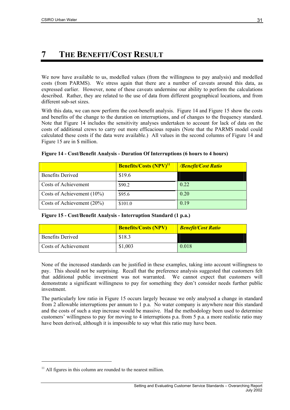# <span id="page-30-0"></span>**7 THE BENEFIT/COST RESULT**

We now have available to us, modelled values (from the willingness to pay analysis) and modelled costs (from PARMS). We stress again that there are a number of caveats around this data, as expressed earlier. However, none of these caveats undermine our ability to perform the calculations described. Rather, they are related to the use of data from different geographical locations, and from different sub-set sizes.

With this data, we can now perform the cost-benefit analysis. [Figure 14](#page-30-1) and [Figure 15](#page-30-2) show the costs and benefits of the change to the duration on interruptions, and of changes to the frequency standard. Note that [Figure 14](#page-30-1) includes the sensitivity analyses undertaken to account for lack of data on the costs of additional crews to carry out more efficacious repairs (Note that the PARMS model could calculated these costs if the data were available.) All values in the second columns of [Figure 14](#page-30-1) and [Figure 15](#page-30-2) are in \$ million.

|                               | <b>Benefits/Costs (NPV)</b> <sup>11</sup> | <b>/Benefit/Cost Ratio</b> |
|-------------------------------|-------------------------------------------|----------------------------|
| <b>Benefits Derived</b>       | \$19.6                                    |                            |
| Costs of Achievement          | \$90.2                                    | 0.22                       |
| Costs of Achievement $(10\%)$ | \$95.6                                    | 0.20                       |
| Costs of Achievement $(20\%)$ | \$101.0                                   | 0.19                       |

<span id="page-30-1"></span>

|  |  | Figure 14 - Cost/Benefit Analysis - Duration Of Interruptions (6 hours to 4 hours) |  |
|--|--|------------------------------------------------------------------------------------|--|
|  |  |                                                                                    |  |

<span id="page-30-2"></span>

| Figure 15 - Cost/Benefit Analysis - Interruption Standard (1 p.a.) |  |
|--------------------------------------------------------------------|--|
|                                                                    |  |

|                         | <b>Benefits/Costs (NPV)</b> | <b>Benefit/Cost Ratio</b> |
|-------------------------|-----------------------------|---------------------------|
| <b>Benefits Derived</b> | \$18.3                      |                           |
| Costs of Achievement    | \$1,003                     | 0.018                     |

None of the increased standards can be justified in these examples, taking into account willingness to pay. This should not be surprising. Recall that the preference analysis suggested that customers felt that additional public investment was not warranted. We cannot expect that customers will demonstrate a significant willingness to pay for something they don't consider needs further public investment.

The particularly low ratio in [Figure 15](#page-30-2) occurs largely because we only analysed a change in standard from 2 allowable interruptions per annum to 1 p.a. No water company is anywhere near this standard and the costs of such a step increase would be massive. Had the methodology been used to determine customers' willingness to pay for moving to 4 interruptions p.a. from 5 p.a. a more realistic ratio may have been derived, although it is impossible to say what this ratio may have been.

 $\overline{a}$ 

<span id="page-30-3"></span> $11$  All figures in this column are rounded to the nearest million.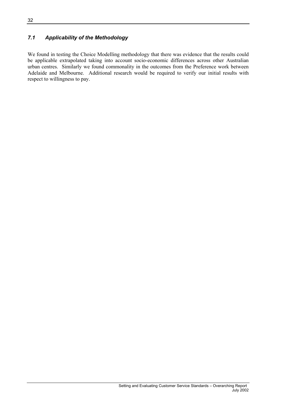### <span id="page-31-0"></span>*7.1 Applicability of the Methodology*

We found in testing the Choice Modelling methodology that there was evidence that the results could be applicable extrapolated taking into account socio-economic differences across other Australian urban centres. Similarly we found commonality in the outcomes from the Preference work between Adelaide and Melbourne. Additional research would be required to verify our initial results with respect to willingness to pay.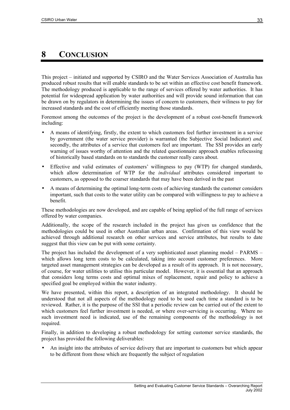# <span id="page-32-0"></span>**8 CONCLUSION**

This project – initiated and supported by CSIRO and the Water Services Association of Australia has produced robust results that will enable standards to be set within an effective cost benefit framework. The methodology produced is applicable to the range of services offered by water authorities. It has potential for widespread application by water authorities and will provide sound information that can be drawn on by regulators in determining the issues of concern to customers, their wiliness to pay for increased standards and the cost of efficiently meeting those standards.

Foremost among the outcomes of the project is the development of a robust cost-benefit framework including:

- A means of identifying, firstly, the extent to which customers feel further investment in a service by government (the water service provider) is warranted (the Subjective Social Indicator) *and,* secondly, the attributes of a service that customers feel are important. The SSI provides an early warning of issues worthy of attention and the related questionnaire approach enables refocussing of historically based standards on to standards the customer really cares about.
- Effective and valid estimates of customers' willingness to pay (WTP) for changed standards, which allow determination of WTP for the *individual* attributes considered important to customers, as opposed to the coarser standards that may have been derived in the past
- A means of determining the optimal long-term costs of achieving standards the customer considers important, such that costs to the water utility can be compared with willingness to pay to achieve a benefit.

These methodologies are now developed, and are capable of being applied of the full range of services offered by water companies.

Additionally, the scope of the research included in the project has given us confidence that the methodologies could be used in other Australian urban areas. Confirmation of this view would be achieved through additional research on other services and service attributes, but results to date suggest that this view can be put with some certainty.

The project has included the development of a very sophisticated asset planning model – PARMS – which allows long term costs to be calculated, taking into account customer preferences. More targeted asset management strategies can be developed as a result of its approach. It is not necessary, of course, for water utilities to utilise this particular model. However, it is essential that an approach that considers long terms costs and optimal mixes of replacement, repair and policy to achieve a specified goal be employed within the water industry.

We have presented, within this report, a description of an integrated methodology. It should be understood that not all aspects of the methodology need to be used each time a standard is to be reviewed. Rather, it is the purpose of the SSI that a periodic review can be carried out of the extent to which customers feel further investment is needed, or where over-servicing is occurring. Where no such investment need is indicated, use of the remaining components of the methodology is not required.

Finally, in addition to developing a robust methodology for setting customer service standards, the project has provided the following deliverables:

• An insight into the attributes of service delivery that are important to customers but which appear to be different from those which are frequently the subject of regulation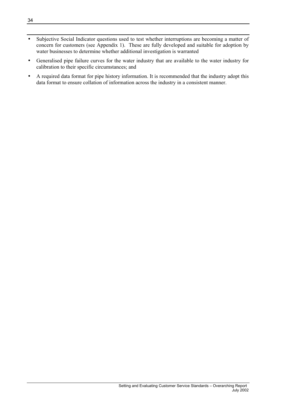- Subjective Social Indicator questions used to test whether interruptions are becoming a matter of concern for customers (see Appendix 1). These are fully developed and suitable for adoption by water businesses to determine whether additional investigation is warranted
- Generalised pipe failure curves for the water industry that are available to the water industry for calibration to their specific circumstances; and
- A required data format for pipe history information. It is recommended that the industry adopt this data format to ensure collation of information across the industry in a consistent manner.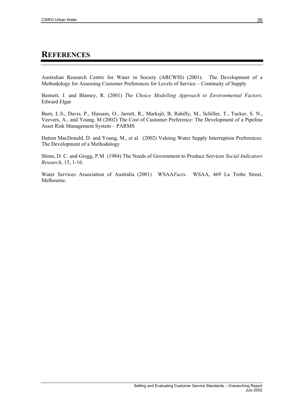### <span id="page-34-0"></span>**REFERENCES**

Australian Research Centre for Water in Society (ARCWIS) (2001). The Development of a Methodology for Assessing Customer Preferences for Levels of Service – Continuity of Supply

Bennett, J. and Blamey, R. (2001) *The Choice Modelling Approach to Environmental Factors*. Edward Elgar

Burn, L.S., Davis, P., Hussain, O., Jarrett, R., Marksjö, B, Rahilly, M., Schiller, T., Tucker, S. N., Veevers, A., and Young, M (2002) The Cost of Customer Preference: The Development of a Pipeline Asset Risk Management System – PARMS

Hatton MacDonald, D. and Young, M., et al. (2002) Valuing Water Supply Interruption Preferences: The Development of a Methodology

Shinn, D. C. and Gregg, P.M (1984) The Needs of Government to Produce Services *Social Indicators Research*, 15, 1-16.

Water Services Association of Australia (2001) WSAA*Facts*. WSAA, 469 La Trobe Street, Melbourne.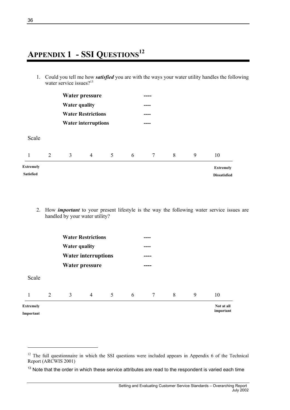# <span id="page-35-0"></span>**APPENDIX 1 - SSI QUESTIONS[12](#page-35-1)**

1. Could you tell me how *satisfied* you are with the ways your water utility handles the following water service issues? $13$ 

|                                      |   | Water pressure       |                           | ____ |      |                 |   |   |                                         |  |
|--------------------------------------|---|----------------------|---------------------------|------|------|-----------------|---|---|-----------------------------------------|--|
|                                      |   | <b>Water quality</b> |                           |      |      | ----            |   |   |                                         |  |
|                                      |   |                      | <b>Water Restrictions</b> |      |      | ----            |   |   |                                         |  |
| <b>Water interruptions</b>           |   |                      |                           |      | ---- |                 |   |   |                                         |  |
| Scale                                |   |                      |                           |      |      |                 |   |   |                                         |  |
| $\mathbf{1}$                         | 2 | $\mathfrak{Z}$       | $\overline{4}$            | 5    | 6    | $7\phantom{.0}$ | 8 | 9 | 10                                      |  |
| <b>Extremely</b><br><b>Satisfied</b> |   |                      |                           |      |      |                 |   |   | <b>Extremely</b><br><b>Dissatisfied</b> |  |

2. How *important* to your present lifestyle is the way the following water service issues are handled by your water utility?

|                      |   |   | <b>Water Restrictions</b>  |                |   | -----           |   |   |            |  |
|----------------------|---|---|----------------------------|----------------|---|-----------------|---|---|------------|--|
| <b>Water quality</b> |   |   |                            |                |   | -----           |   |   |            |  |
|                      |   |   | <b>Water interruptions</b> |                |   | ----            |   |   |            |  |
|                      |   |   | <b>Water pressure</b>      |                |   | ----            |   |   |            |  |
| Scale                |   |   |                            |                |   |                 |   |   |            |  |
|                      | 2 | 3 | $\overline{4}$             | $\mathfrak{S}$ | 6 | $7\overline{ }$ | 8 | 9 | 10         |  |
| <b>Extremely</b>     |   |   |                            |                |   |                 |   |   | Not at all |  |
| Important            |   |   |                            |                |   |                 |   |   | important  |  |

l

<span id="page-35-1"></span><sup>&</sup>lt;sup>12</sup> The full questionnaire in which the SSI questions were included appears in Appendix 6 of the Technical Report (ARCWIS 2001)

<span id="page-35-2"></span> $13$  Note that the order in which these service attributes are read to the respondent is varied each time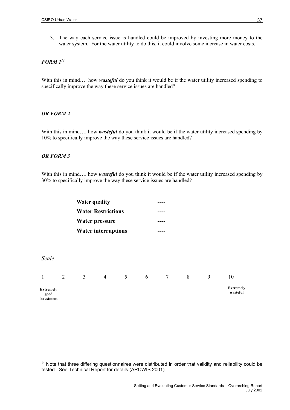3. The way each service issue is handled could be improved by investing more money to the water system. For the water utility to do this, it could involve some increase in water costs.

#### *FORM [114](#page-36-0)*

With this in mind.... how *wasteful* do you think it would be if the water utility increased spending to specifically improve the way these service issues are handled?

#### *OR FORM 2*

With this in mind.... how *wasteful* do you think it would be if the water utility increased spending by 10% to specifically improve the way these service issues are handled?

#### *OR FORM 3*

**investment**

With this in mind.... how *wasteful* do you think it would be if the water utility increased spending by 30% to specifically improve the way these service issues are handled?

|                          | <b>Water quality</b><br><b>Water Restrictions</b> |                            |                       |                |   | ----            |   |   |                              |  |
|--------------------------|---------------------------------------------------|----------------------------|-----------------------|----------------|---|-----------------|---|---|------------------------------|--|
|                          |                                                   |                            |                       |                |   |                 |   |   |                              |  |
|                          |                                                   |                            | <b>Water pressure</b> |                |   | ----            |   |   |                              |  |
|                          |                                                   | <b>Water interruptions</b> |                       |                |   |                 |   |   |                              |  |
|                          |                                                   |                            |                       |                |   |                 |   |   |                              |  |
| Scale                    |                                                   |                            |                       |                |   |                 |   |   |                              |  |
| 1                        | 2                                                 | $\overline{3}$             | $\overline{4}$        | 5 <sup>5</sup> | 6 | $7\overline{ }$ | 8 | 9 | 10                           |  |
| <b>Extremely</b><br>good |                                                   |                            |                       |                |   |                 |   |   | <b>Extremely</b><br>wasteful |  |

<span id="page-36-0"></span><sup>&</sup>lt;sup>14</sup> Note that three differing questionnaires were distributed in order that validity and reliability could be tested. See Technical Report for details (ARCWIS 2001)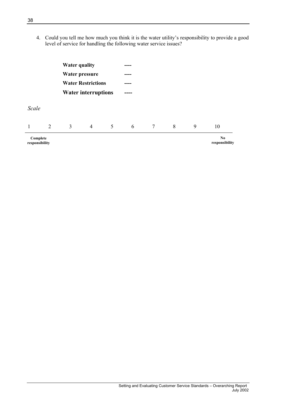4. Could you tell me how much you think it is the water utility's responsibility to provide a good level of service for handling the following water service issues?

|          |                       | <b>Water quality</b>                                    |                |      | ----         |                 |   |   |    |  |
|----------|-----------------------|---------------------------------------------------------|----------------|------|--------------|-----------------|---|---|----|--|
|          | <b>Water pressure</b> |                                                         |                | ---- |              |                 |   |   |    |  |
|          |                       | <b>Water Restrictions</b><br><b>Water interruptions</b> |                |      | ----<br>---- |                 |   |   |    |  |
|          |                       |                                                         |                |      |              |                 |   |   |    |  |
| Scale    |                       |                                                         |                |      |              |                 |   |   |    |  |
|          |                       |                                                         |                |      |              |                 |   |   |    |  |
| 1        | 2                     | 3                                                       | $\overline{4}$ | 5    | 6            | $7\overline{ }$ | 8 | 9 | 10 |  |
| Complete |                       |                                                         |                |      |              |                 |   |   | No |  |

**responsibility** 

**responsibility**